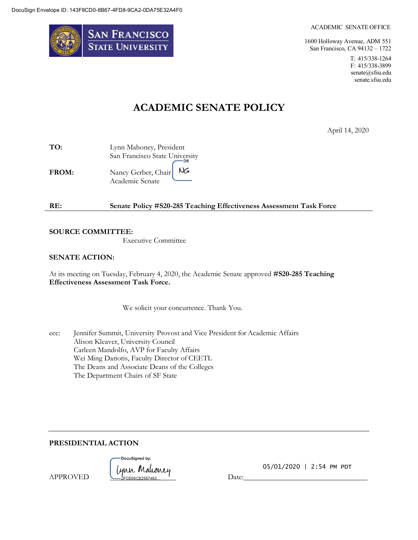

#### ACADEMIC SENATE OFFICE

1600 Holloway Avenue, ADM 551 San Francisco, CA 94132 – 1722

> T: 415/338-1264 F: 415/338-3899 [senate@sfsu.edu](mailto:senate@sfsu.edu) senate.sfsu.edu

# **ACADEMIC SENATE POLICY**

April 14, 2020

| TO:          | Lynn Mahoney, President        |
|--------------|--------------------------------|
|              | San Francisco State University |
| <b>FROM:</b> | NG.<br>Nancy Gerber, Chair     |
|              | Academic Senate                |

| RE: | Senate Policy #S20-285 Teaching Effectiveness Assessment Task Force |  |
|-----|---------------------------------------------------------------------|--|
|-----|---------------------------------------------------------------------|--|

#### **SOURCE COMMITTEE:**

Executive Committee

#### **SENATE ACTION:**

At its meeting on Tuesday, February 4, 2020, the Academic Senate approved **#S20-285 Teaching Effectiveness Assessment Task Force.**

We solicit your concurrence. Thank You.

ecc: Jennifer Summit, University Provost and Vice President for Academic Affairs Alison Kleaver, University Council Carleen Mandolfo, AVP for Faculty Affairs Wei Ming Dariotis, Faculty Director of CEETL The Deans and Associate Deans of the Colleges The Department Chairs of SF State

**PRESIDENTIAL ACTION**

-DocuSianed by: Lynn Malconey<br>-- 2FCB50CB2557463...

05/01/2020 | 2:54 PM PDT

APPROVED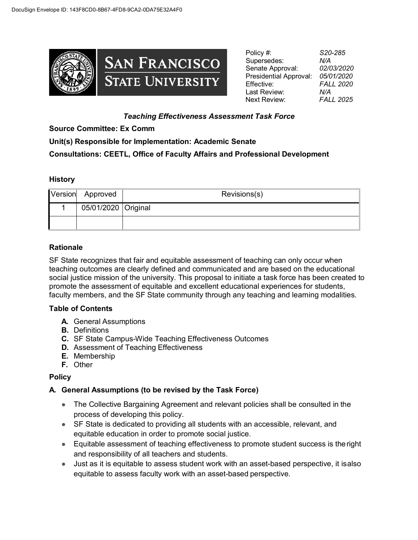

Policy #: *S20-285* Supersedes: Senate Approval: *02/03/2020*  Presidential Approval: *05/01/2020* Effective: *FALL 2020* Last Review: *N/A* Next Review: *FALL 2025*

### *Teaching Effectiveness Assessment Task Force*

#### **Source Committee: Ex Comm**

# **Unit(s) Responsible for Implementation: Academic Senate Consultations: CEETL, Office of Faculty Affairs and Professional Development**

#### **History**

| Version Approved    | Revisions(s) |
|---------------------|--------------|
| 05/01/2020 Original |              |
|                     |              |

#### **Rationale**

SF State recognizes that fair and equitable assessment of teaching can only occur when teaching outcomes are clearly defined and communicated and are based on the educational social justice mission of the university. This proposal to initiate a task force has been created to promote the assessment of equitable and excellent educational experiences for students, faculty members, and the SF State community through any teaching and learning modalities.

#### **Table of Contents**

- **A.** General Assumptions
- **B.** Definitions
- **C.** SF State Campus-Wide Teaching Effectiveness Outcomes
- **D.** Assessment of Teaching Effectiveness
- **E.** Membership
- **F.** Other

## **Policy**

## **A. General Assumptions (to be revised by the Task Force)**

- The Collective Bargaining Agreement and relevant policies shall be consulted in the process of developing this policy.
- SF State is dedicated to providing all students with an accessible, relevant, and equitable education in order to promote social justice.
- Equitable assessment of teaching effectiveness to promote student success is the right and responsibility of all teachers and students.
- Just as it is equitable to assess student work with an asset-based perspective, it isalso equitable to assess faculty work with an asset-based perspective.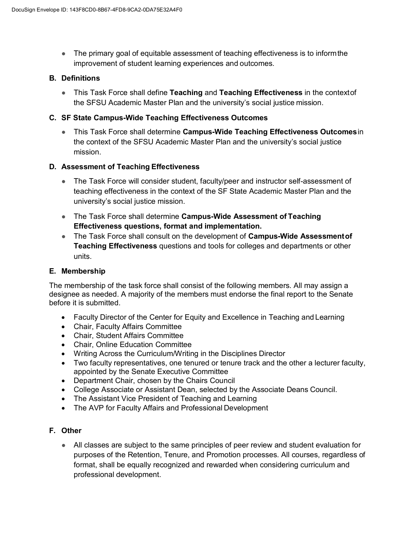■ The primary goal of equitable assessment of teaching effectiveness is to inform the improvement of student learning experiences and outcomes.

#### **B. Definitions**

● This Task Force shall define **Teaching** and **Teaching Effectiveness** in the contextof the SFSU Academic Master Plan and the university's social justice mission.

#### **C. SF State Campus-Wide Teaching Effectiveness Outcomes**

● This Task Force shall determine **Campus-Wide Teaching Effectiveness Outcomes**in the context of the SFSU Academic Master Plan and the university's social justice mission.

#### **D. Assessment of Teaching Effectiveness**

- The Task Force will consider student, faculty/peer and instructor self-assessment of teaching effectiveness in the context of the SF State Academic Master Plan and the university's social justice mission.
- The Task Force shall determine **Campus-Wide Assessment of Teaching Effectiveness questions, format and implementation.**
- The Task Force shall consult on the development of **Campus-Wide Assessmentof Teaching Effectiveness** questions and tools for colleges and departments or other units.

#### **E. Membership**

The membership of the task force shall consist of the following members. All may assign a designee as needed. A majority of the members must endorse the final report to the Senate before it is submitted.

- Faculty Director of the Center for Equity and Excellence in Teaching and Learning
- Chair, Faculty Affairs Committee
- Chair, Student Affairs Committee
- Chair, Online Education Committee
- Writing Across the Curriculum/Writing in the Disciplines Director
- Two faculty representatives, one tenured or tenure track and the other a lecturer faculty, appointed by the Senate Executive Committee
- Department Chair, chosen by the Chairs Council
- College Associate or Assistant Dean, selected by the Associate Deans Council.
- The Assistant Vice President of Teaching and Learning
- The AVP for Faculty Affairs and Professional Development

#### **F. Other**

● All classes are subject to the same principles of peer review and student evaluation for purposes of the Retention, Tenure, and Promotion processes. All courses, regardless of format, shall be equally recognized and rewarded when considering curriculum and professional development.